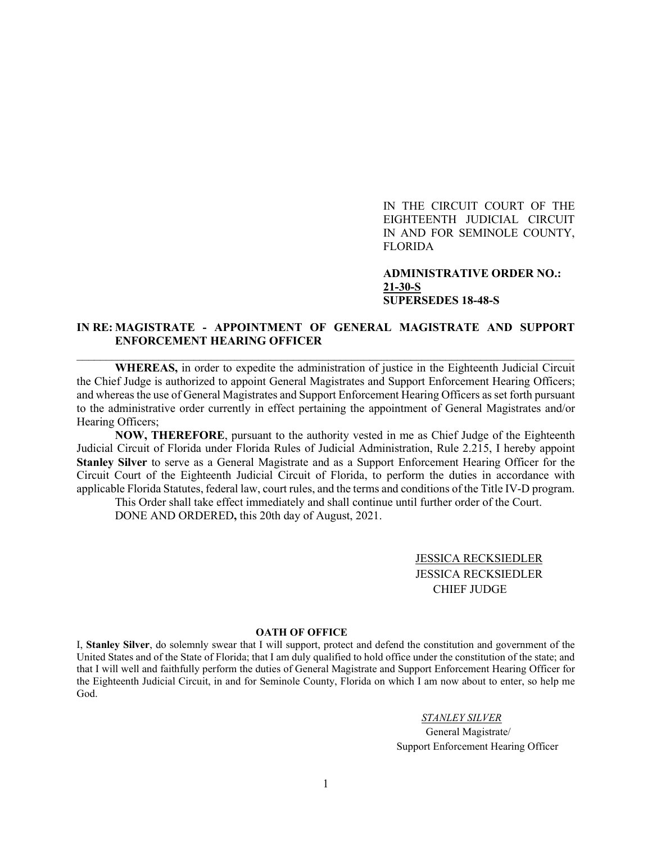IN THE CIRCUIT COURT OF THE EIGHTEENTH JUDICIAL CIRCUIT IN AND FOR SEMINOLE COUNTY, FLORIDA

**ADMINISTRATIVE ORDER NO.: 21-30-S SUPERSEDES 18-48-S**

## **IN RE: MAGISTRATE - APPOINTMENT OF GENERAL MAGISTRATE AND SUPPORT ENFORCEMENT HEARING OFFICER**  $\_$  , and the set of the set of the set of the set of the set of the set of the set of the set of the set of the set of the set of the set of the set of the set of the set of the set of the set of the set of the set of th

**WHEREAS,** in order to expedite the administration of justice in the Eighteenth Judicial Circuit the Chief Judge is authorized to appoint General Magistrates and Support Enforcement Hearing Officers; and whereas the use of General Magistrates and Support Enforcement Hearing Officers as set forth pursuant to the administrative order currently in effect pertaining the appointment of General Magistrates and/or Hearing Officers;

**NOW, THEREFORE**, pursuant to the authority vested in me as Chief Judge of the Eighteenth Judicial Circuit of Florida under Florida Rules of Judicial Administration, Rule 2.215, I hereby appoint **Stanley Silver** to serve as a General Magistrate and as a Support Enforcement Hearing Officer for the Circuit Court of the Eighteenth Judicial Circuit of Florida, to perform the duties in accordance with applicable Florida Statutes, federal law, court rules, and the terms and conditions of the Title IV-D program.

This Order shall take effect immediately and shall continue until further order of the Court. DONE AND ORDERED**,** this 20th day of August, 2021.

> JESSICA RECKSIEDLER JESSICA RECKSIEDLER CHIEF JUDGE

## **OATH OF OFFICE**

I, **Stanley Silver**, do solemnly swear that I will support, protect and defend the constitution and government of the United States and of the State of Florida; that I am duly qualified to hold office under the constitution of the state; and that I will well and faithfully perform the duties of General Magistrate and Support Enforcement Hearing Officer for the Eighteenth Judicial Circuit, in and for Seminole County, Florida on which I am now about to enter, so help me God.

*STANLEY SILVER*

 General Magistrate/ Support Enforcement Hearing Officer